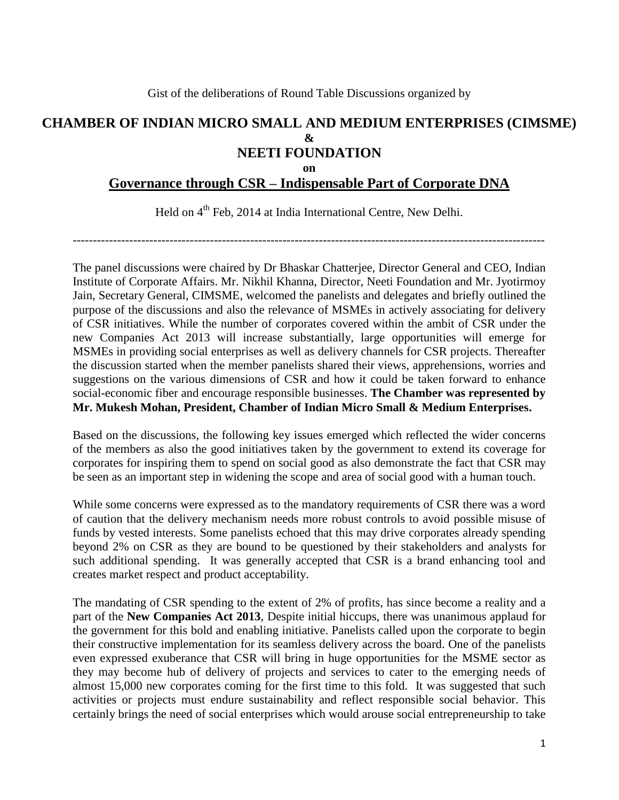# **CHAMBER OF INDIAN MICRO SMALL AND MEDIUM ENTERPRISES (CIMSME) & NEETI FOUNDATION on**

### **Governance through CSR – Indispensable Part of Corporate DNA**

Held on 4<sup>th</sup> Feb, 2014 at India International Centre, New Delhi.

---------------------------------------------------------------------------------------------------------------------

The panel discussions were chaired by Dr Bhaskar Chatterjee, Director General and CEO, Indian Institute of Corporate Affairs. Mr. Nikhil Khanna, Director, Neeti Foundation and Mr. Jyotirmoy Jain, Secretary General, CIMSME, welcomed the panelists and delegates and briefly outlined the purpose of the discussions and also the relevance of MSMEs in actively associating for delivery of CSR initiatives. While the number of corporates covered within the ambit of CSR under the new Companies Act 2013 will increase substantially, large opportunities will emerge for MSMEs in providing social enterprises as well as delivery channels for CSR projects. Thereafter the discussion started when the member panelists shared their views, apprehensions, worries and suggestions on the various dimensions of CSR and how it could be taken forward to enhance social-economic fiber and encourage responsible businesses. **The Chamber was represented by Mr. Mukesh Mohan, President, Chamber of Indian Micro Small & Medium Enterprises.**

Based on the discussions, the following key issues emerged which reflected the wider concerns of the members as also the good initiatives taken by the government to extend its coverage for corporates for inspiring them to spend on social good as also demonstrate the fact that CSR may be seen as an important step in widening the scope and area of social good with a human touch.

While some concerns were expressed as to the mandatory requirements of CSR there was a word of caution that the delivery mechanism needs more robust controls to avoid possible misuse of funds by vested interests. Some panelists echoed that this may drive corporates already spending beyond 2% on CSR as they are bound to be questioned by their stakeholders and analysts for such additional spending. It was generally accepted that CSR is a brand enhancing tool and creates market respect and product acceptability.

The mandating of CSR spending to the extent of 2% of profits, has since become a reality and a part of the **New Companies Act 2013**, Despite initial hiccups, there was unanimous applaud for the government for this bold and enabling initiative. Panelists called upon the corporate to begin their constructive implementation for its seamless delivery across the board. One of the panelists even expressed exuberance that CSR will bring in huge opportunities for the MSME sector as they may become hub of delivery of projects and services to cater to the emerging needs of almost 15,000 new corporates coming for the first time to this fold. It was suggested that such activities or projects must endure sustainability and reflect responsible social behavior. This certainly brings the need of social enterprises which would arouse social entrepreneurship to take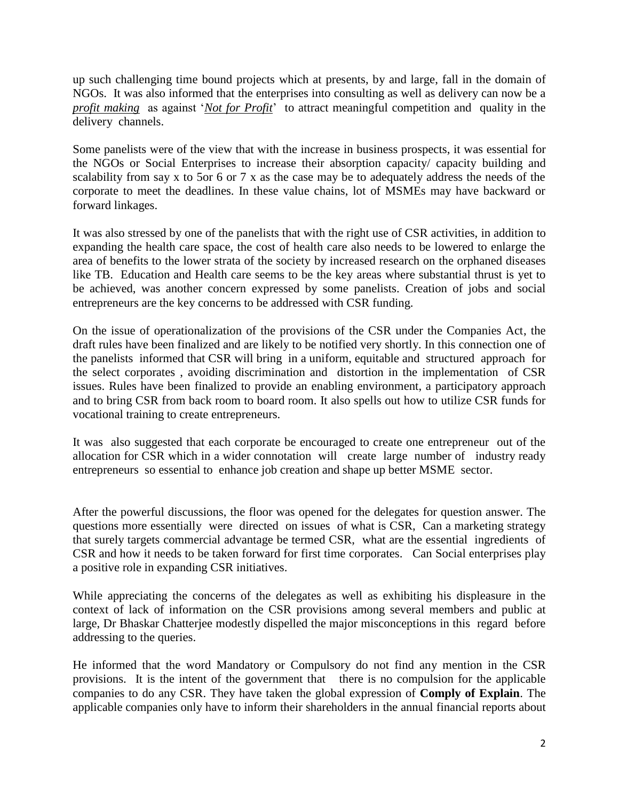up such challenging time bound projects which at presents, by and large, fall in the domain of NGOs. It was also informed that the enterprises into consulting as well as delivery can now be a *profit making* as against '*Not for Profit*' to attract meaningful competition and quality in the delivery channels.

Some panelists were of the view that with the increase in business prospects, it was essential for the NGOs or Social Enterprises to increase their absorption capacity/ capacity building and scalability from say x to 5or 6 or 7 x as the case may be to adequately address the needs of the corporate to meet the deadlines. In these value chains, lot of MSMEs may have backward or forward linkages.

It was also stressed by one of the panelists that with the right use of CSR activities, in addition to expanding the health care space, the cost of health care also needs to be lowered to enlarge the area of benefits to the lower strata of the society by increased research on the orphaned diseases like TB. Education and Health care seems to be the key areas where substantial thrust is yet to be achieved, was another concern expressed by some panelists. Creation of jobs and social entrepreneurs are the key concerns to be addressed with CSR funding.

On the issue of operationalization of the provisions of the CSR under the Companies Act, the draft rules have been finalized and are likely to be notified very shortly. In this connection one of the panelists informed that CSR will bring in a uniform, equitable and structured approach for the select corporates , avoiding discrimination and distortion in the implementation of CSR issues. Rules have been finalized to provide an enabling environment, a participatory approach and to bring CSR from back room to board room. It also spells out how to utilize CSR funds for vocational training to create entrepreneurs.

It was also suggested that each corporate be encouraged to create one entrepreneur out of the allocation for CSR which in a wider connotation will create large number of industry ready entrepreneurs so essential to enhance job creation and shape up better MSME sector.

After the powerful discussions, the floor was opened for the delegates for question answer. The questions more essentially were directed on issues of what is CSR, Can a marketing strategy that surely targets commercial advantage be termed CSR, what are the essential ingredients of CSR and how it needs to be taken forward for first time corporates. Can Social enterprises play a positive role in expanding CSR initiatives.

While appreciating the concerns of the delegates as well as exhibiting his displeasure in the context of lack of information on the CSR provisions among several members and public at large, Dr Bhaskar Chatterjee modestly dispelled the major misconceptions in this regard before addressing to the queries.

He informed that the word Mandatory or Compulsory do not find any mention in the CSR provisions. It is the intent of the government that there is no compulsion for the applicable companies to do any CSR. They have taken the global expression of **Comply of Explain**. The applicable companies only have to inform their shareholders in the annual financial reports about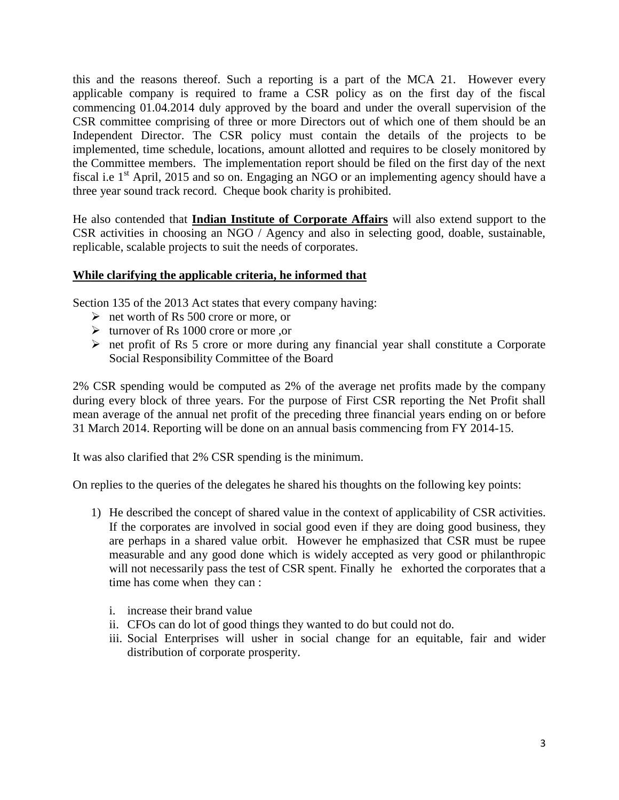this and the reasons thereof. Such a reporting is a part of the MCA 21. However every applicable company is required to frame a CSR policy as on the first day of the fiscal commencing 01.04.2014 duly approved by the board and under the overall supervision of the CSR committee comprising of three or more Directors out of which one of them should be an Independent Director. The CSR policy must contain the details of the projects to be implemented, time schedule, locations, amount allotted and requires to be closely monitored by the Committee members. The implementation report should be filed on the first day of the next fiscal i.e  $1<sup>st</sup>$  April, 2015 and so on. Engaging an NGO or an implementing agency should have a three year sound track record. Cheque book charity is prohibited.

He also contended that **Indian Institute of Corporate Affairs** will also extend support to the CSR activities in choosing an NGO / Agency and also in selecting good, doable, sustainable, replicable, scalable projects to suit the needs of corporates.

## **While clarifying the applicable criteria, he informed that**

Section 135 of the 2013 Act states that every company having:

- $\triangleright$  net worth of Rs 500 crore or more, or
- $\triangleright$  turnover of Rs 1000 crore or more ,or
- $\triangleright$  net profit of Rs 5 crore or more during any financial year shall constitute a Corporate Social Responsibility Committee of the Board

2% CSR spending would be computed as 2% of the average net profits made by the company during every block of three years. For the purpose of First CSR reporting the Net Profit shall mean average of the annual net profit of the preceding three financial years ending on or before 31 March 2014. Reporting will be done on an annual basis commencing from FY 2014-15.

It was also clarified that 2% CSR spending is the minimum.

On replies to the queries of the delegates he shared his thoughts on the following key points:

- 1) He described the concept of shared value in the context of applicability of CSR activities. If the corporates are involved in social good even if they are doing good business, they are perhaps in a shared value orbit. However he emphasized that CSR must be rupee measurable and any good done which is widely accepted as very good or philanthropic will not necessarily pass the test of CSR spent. Finally he exhorted the corporates that a time has come when they can :
	- i. increase their brand value
	- ii. CFOs can do lot of good things they wanted to do but could not do.
	- iii. Social Enterprises will usher in social change for an equitable, fair and wider distribution of corporate prosperity.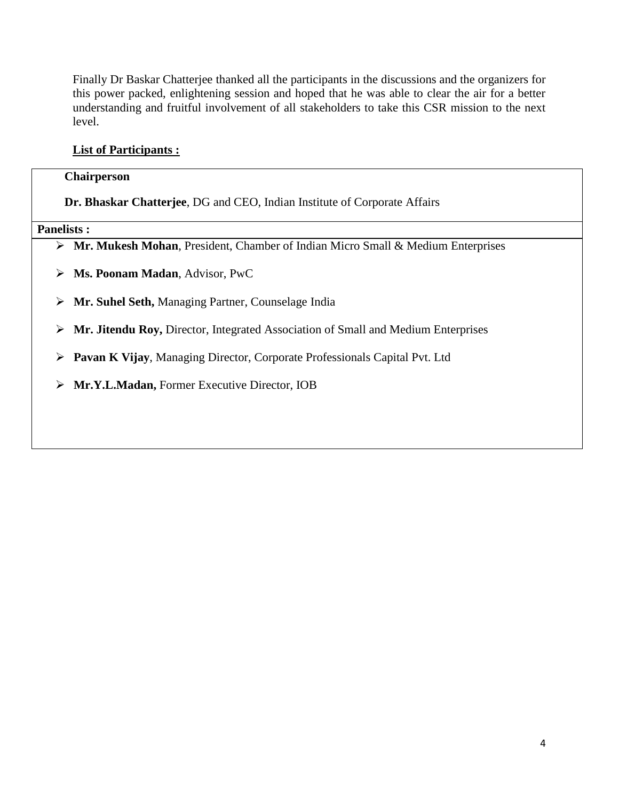Finally Dr Baskar Chatterjee thanked all the participants in the discussions and the organizers for this power packed, enlightening session and hoped that he was able to clear the air for a better understanding and fruitful involvement of all stakeholders to take this CSR mission to the next level.

# **List of Participants :**

### **Chairperson**

 **Dr. Bhaskar Chatterjee**, DG and CEO, Indian Institute of Corporate Affairs

**Panelists :** 

- **Mr. Mukesh Mohan**, President, Chamber of Indian Micro Small & Medium Enterprises
- **Ms. Poonam Madan**, Advisor, PwC
- **Mr. Suhel Seth,** Managing Partner, Counselage India
- **Mr. Jitendu Roy,** Director, Integrated Association of Small and Medium Enterprises
- **Pavan K Vijay**, Managing Director, Corporate Professionals Capital Pvt. Ltd
- **Mr.Y.L.Madan,** Former Executive Director, IOB